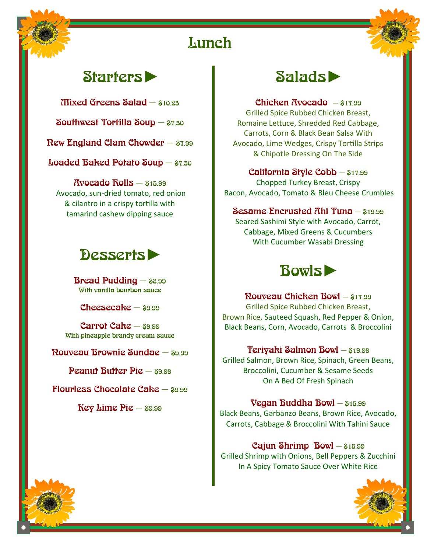# **Lunch**

# Starters►

Mixed Greens Salad — \$10.25

Southwest Tortilla Soup — \$7.50

New England Clam Chowder — \$7.99

Loaded Baked Potato Soup — \$7.50

 $R$ vocado  $R$ olls —  $$15.99$ Avocado, sun-dried tomato, red onion & cilantro in a crispy tortilla with tamarind cashew dipping sauce

# Desserts►

**Bread Pudding**  $-$  \$8.99 With vanilla bourbon sauce

Cheesecake  $s_{9.99}$ 

 $C$ arrot  $C$ ake —  $89.99$ With pineapple brandy cream sauce

Nouveau Brownie Sundae — \$9.99

Peanut Butter Pie — \$9.99

Flourless Chocolate Cake  $-$  \$9.99

Key Lime  $Pic -$  \$9.99



Chicken Avocado  $-$  \$17.99 Grilled Spice Rubbed Chicken Breast, Romaine Lettuce, Shredded Red Cabbage, Carrots, Corn & Black Bean Salsa With Avocado, Lime Wedges, Crispy Tortilla Strips & Chipotle Dressing On The Side

California Style Cobb — \$17.99 Chopped Turkey Breast, Crispy Bacon, Avocado, Tomato & Bleu Cheese Crumbles

#### Sesame Encrusted Ahi Tuna — \$19.99

Seared Sashimi Style with Avocado, Carrot, Cabbage, Mixed Greens & Cucumbers With Cucumber Wasabi Dressing



Nouveau Chicken Bowl — \$17.99 Grilled Spice Rubbed Chicken Breast, Brown Rice, Sauteed Squash, Red Pepper & Onion, Black Beans, Corn, Avocado, Carrots & Broccolini

Teriyaki Salmon Bowl — \$19.99 Grilled Salmon, Brown Rice, Spinach, Green Beans, Broccolini, Cucumber & Sesame Seeds On A Bed Of Fresh Spinach

Vegan Buddha Bowl — \$15.99 Black Beans, Garbanzo Beans, Brown Rice, Avocado, Carrots, Cabbage & Broccolini With Tahini Sauce

Cajun Shrimp  $Bowl - $18.99$ Grilled Shrimp with Onions, Bell Peppers & Zucchini In A Spicy Tomato Sauce Over White Rice

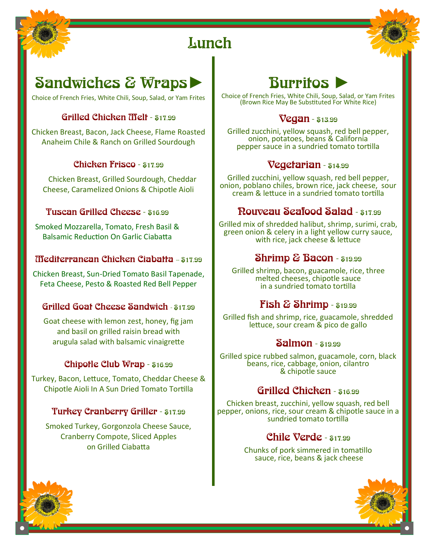

# **Lunch**

# Sandwiches & Wraps

Choice of French Fries, White Chili, Soup, Salad, or Yam Frites

## Grilled Chicken Melt - \$17.99

Chicken Breast, Bacon, Jack Cheese, Flame Roasted Anaheim Chile & Ranch on Grilled Sourdough

### Chicken Frisco - \$17.99

 Chicken Breast, Grilled Sourdough, Cheddar Cheese, Caramelized Onions & Chipotle Aioli

### Tuscan Grilled Cheese - \$16.99

Smoked Mozzarella, Tomato, Fresh Basil & Balsamic Reduction On Garlic Ciabatta

## **Mediterranean Chicken Ciabatta - \$17.99**

Chicken Breast, Sun-Dried Tomato Basil Tapenade, Feta Cheese, Pesto & Roasted Red Bell Pepper

## Grilled Goat Cheese Sandwich - \$17.99

Goat cheese with lemon zest, honey, fig jam and basil on grilled raisin bread with arugula salad with balsamic vinaigrette

### Chipotle Club Wrap - \$16.99

Turkey, Bacon, Lettuce, Tomato, Cheddar Cheese & Chipotle Aioli In A Sun Dried Tomato Tortilla

### Turkey Cranberry Griller - \$17.99

Smoked Turkey, Gorgonzola Cheese Sauce, Cranberry Compote, Sliced Apples on Grilled Ciabatta



Choice of French Fries, White Chili, Soup, Salad, or Yam Frites (Brown Rice May Be Substituted For White Rice)

## Vegan - \$13.99

Grilled zucchini, yellow squash, red bell pepper, onion, potatoes, beans & California pepper sauce in a sundried tomato tortilla

## Vegetarian - \$14.99

Grilled zucchini, yellow squash, red bell pepper, onion, poblano chiles, brown rice, jack cheese, sour cream & lettuce in a sundried tomato tortilla

# Nouveau Seafood Salad - \$17.99

Grilled mix of shredded halibut, shrimp, surimi, crab, green onion & celery in a light yellow curry sauce, with rice, jack cheese & lettuce

# Shrimp & Bacon - \$19.99

Grilled shrimp, bacon, guacamole, rice, three melted cheeses, chipotle sauce in a sundried tomato tortilla

# $\&$  $**Shrimp**$  **-**  $$19.99$

Grilled fish and shrimp, rice, guacamole, shredded lettuce, sour cream & pico de gallo

## **Salmon** - \$19.99

Grilled spice rubbed salmon, guacamole, corn, black beans, rice, cabbage, onion, cilantro & chipotle sauce

# Grilled Chicken - \$16.99

Chicken breast, zucchini, yellow squash, red bell pepper, onions, rice, sour cream & chipotle sauce in a sundried tomato tortilla

# Chile Verde - \$17.99

Chunks of pork simmered in tomatillo sauce, rice, beans & jack cheese